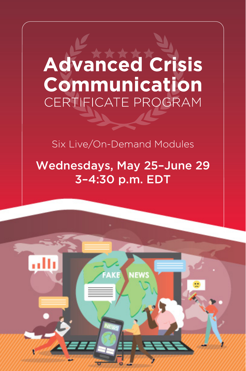# **Advanced Crisis** Communication **CERTIFICATE PROGRAM**

#### Six Live/On-Demand Modules

### Wednesdays, May 25–June 29 3–4:30 p.m. EDT

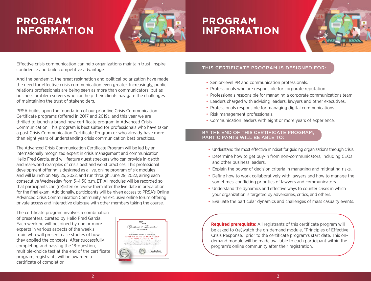# **PROGRAM INFORMATION**



# **PROGRAM INFORMATION**



Effective crisis communication can help organizations maintain trust, inspire confidence and build competitive advantage.

And the pandemic, the great resignation and political polarization have made the need for effective crisis communication even greater. Increasingly, public relations professionals are being seen as more than communicators, but as business problem solvers who can help their clients navigate the challenges of maintaining the trust of stakeholders.

PRSA builds upon the foundation of our prior live Crisis Communication Certificate programs (offered in 2017 and 2019), and this year we are thrilled to launch a brand-new certificate program in Advanced Crisis Communication. This program is best suited for professionals who have taken a past Crisis Communication Certificate Program or who already have more than eight years of understanding crisis communication best practices.

The Advanced Crisis Communication Certificate Program will be led by an internationally recognized expert in crisis management and communication, Helio Fred Garcia, and will feature guest speakers who can provide in-depth and real-world examples of crisis best and worst practices. This professional development offering is designed as a live, online program of six modules and will launch on May 25, 2022, and run through June 29, 2022, airing each consecutive Wednesday from 3–4:30 p.m. ET. All modules will be recorded so that participants can (re)listen or review them after the live date in preparation for the final exam. Additionally, participants will be given access to PRSA's Online Advanced Crisis Communication Community, an exclusive online forum offering private access and interactive dialogue with other members taking the course.

The certificate program involves a combination of presenters, curated by Helio Fred Garcia. Each week he will be joined by one or more experts in various aspects of the week's topic who will present case studies of how they applied the concepts. After successfully completing and passing the 18-question, multiple-choice test at the end of the certificate program, registrants will be awarded a certificate of completion.



#### THIS CERTIFICATE PROGRAM IS DESIGNED FOR:

- Senior-level PR and communication professionals.
- Professionals who are responsible for corporate reputation.
- Professionals responsible for managing a corporate communications team.
- Leaders charged with advising leaders, lawyers and other executives.
- Professionals responsible for managing digital communications.
- Risk management professionals.
- Communication leaders with eight or more years of experience.

#### BY THE END OF THIS CERTIFICATE PROGRAM, PARTICIPANTS WILL BE ABLE TO:

- Understand the most effective mindset for quiding organizations through crisis.
- Determine how to get buy-in from non-communicators, including CEOs and other business leaders.
- Explain the power of decision criteria in managing and mitigating risks.
- Define how to work collaboratively with lawyers and how to manage the sometimes-conflicting priorities of lawyers and communicators.
- Understand the dynamics and effective ways to counter crises in which your organization is targeted by adversaries, critics, and others.
- Evaluate the particular dynamics and challenges of mass casualty events.

**Required prerequisite:** All registrants of this certificate program will be asked to (re)watch the on-demand module, "Principles of Effective Crisis Response," prior to the certificate program's start date. This ondemand module will be made available to each participant within the program's online community after their registration.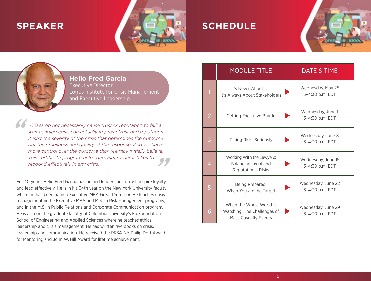### **SPEAKER**



### **SCHEDULE**

**Helio Fred Garcia** Executive Director Logos Institute for Crisis Management and Executive Leadership

*"Crises do not necessarily cause trust or reputation to fall; a well-handled crisis can actually improve trust and reputation. It isn't the severity of the crisis that determines the outcome, but the timeliness and quality of the response. And we have more control over the outcome than we may initially believe. This certificate program helps demystify what it takes to respond effectively in any crisis."* 

For 40 years, Helio Fred Garcia has helped leaders build trust, inspire loyalty and lead effectively. He is in his 34th year on the New York University faculty where he has been named Executive MBA Great Professor. He teaches crisis management in the Executive MBA and M.S. in Risk Management programs, and in the M.S. in Public Relations and Corporate Communication program. He is also on the graduate faculty of Columbia University's Fu Foundation School of Engineering and Applied Sciences where he teaches ethics, leadership and crisis management. He has written five books on crisis, leadership and communication. He received the PRSA-NY Philip Dorf Award for Mentoring and John W. Hill Award for lifetime achievement.

|   | <b>MODULE TITLE</b>                                                                   | <b>DATE &amp; TIME</b>                |
|---|---------------------------------------------------------------------------------------|---------------------------------------|
| 1 | It's Never About Us;<br>It's Always About Stakeholders                                | Wednesday, May 25<br>3-4:30 p.m. EDT  |
| 2 | Getting Executive Buy-In                                                              | Wednesday, June 1<br>3-4:30 p.m. EDT  |
| 3 | <b>Taking Risks Seriously</b>                                                         | Wednesday, June 8<br>3-4:30 p.m. EDT  |
| 4 | Working With the Lawyers:<br>Balancing Legal and<br><b>Reputational Risks</b>         | Wednesday, June 15<br>3-4:30 p.m. EDT |
| 5 | Being Prepared:<br>When You are the Target                                            | Wednesday, June 22<br>3-4:30 p.m. EDT |
| 6 | When the Whole World Is<br>Watching: The Challenges of<br><b>Mass Casualty Events</b> | Wednesday, June 29<br>3-4:30 p.m. EDT |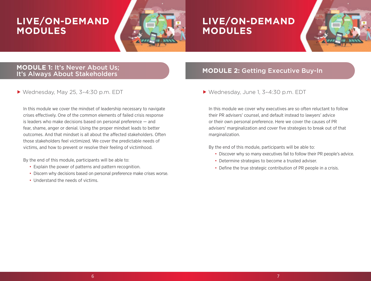# **LIVE/ON-DEMAND MODULES**



### **LIVE/ON-DEMAND MODULES**



#### **MODULE 1:** It's Never About Us; It's Always About Stakeholders

Wednesday, May 25, 3–4:30 p.m. EDT

In this module we cover the mindset of leadership necessary to navigate crises effectively. One of the common elements of failed crisis response is leaders who make decisions based on personal preference — and fear, shame, anger or denial. Using the proper mindset leads to better outcomes. And that mindset is all about the affected stakeholders. Often those stakeholders feel victimized. We cover the predictable needs of victims, and how to prevent or resolve their feeling of victimhood.

By the end of this module, participants will be able to:

- Explain the power of patterns and pattern recognition.
- Discern why decisions based on personal preference make crises worse.
- Understand the needs of victims.

#### **MODULE 2:** Getting Executive Buy-In

Wednesday, June 1, 3–4:30 p.m. EDT

In this module we cover why executives are so often reluctant to follow their PR advisers' counsel, and default instead to lawyers' advice or their own personal preference. Here we cover the causes of PR advisers' marginalization and cover five strategies to break out of that marginalization.

By the end of this module, participants will be able to:

- Discover why so many executives fail to follow their PR people's advice.
- Determine strategies to become a trusted adviser.
- Define the true strategic contribution of PR people in a crisis.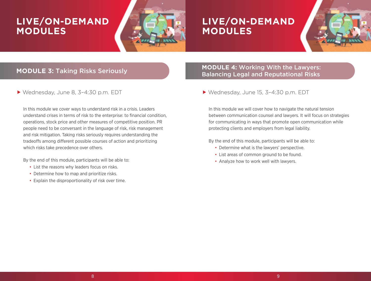# **LIVE/ON-DEMAND MODULES**



### **LIVE/ON-DEMAND MODULES**



#### **MODULE 3:** Taking Risks Seriously

Wednesday, June 8, 3–4:30 p.m. EDT

In this module we cover ways to understand risk in a crisis. Leaders understand crises in terms of risk to the enterprise: to financial condition, operations, stock price and other measures of competitive position. PR people need to be conversant in the language of risk, risk management and risk mitigation. Taking risks seriously requires understanding the tradeoffs among different possible courses of action and prioritizing which risks take precedence over others.

By the end of this module, participants will be able to:

- List the reasons why leaders focus on risks.
- Determine how to map and prioritize risks.
- Explain the disproportionality of risk over time.

#### **MODULE 4:** Working With the Lawyers: Balancing Legal and Reputational Risks

Wednesday, June 15, 3–4:30 p.m. EDT

In this module we will cover how to navigate the natural tension between communication counsel and lawyers. It will focus on strategies for communicating in ways that promote open communication while protecting clients and employers from legal liability.

By the end of this module, participants will be able to:

- Determine what is the lawyers' perspective.
- List areas of common ground to be found.
- Analyze how to work well with lawyers.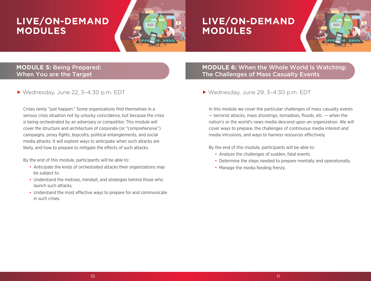# **LIVE/ON-DEMAND MODULES**



### **LIVE/ON-DEMAND MODULES**



#### **MODULE 5:** Being Prepared: When You are the Target

Wednesday, June 22, 3–4:30 p.m. EDT

Crises rarely "just happen." Some organizations find themselves in a serious crisis situation not by unlucky coincidence, but because the crisis is being orchestrated by an adversary or competitor. This module will cover the structure and architecture of corporate (or "comprehensive") campaigns, proxy fights, boycotts, political entanglements, and social media attacks. It will explore ways to anticipate when such attacks are likely, and how to prepare to mitigate the effects of such attacks.

By the end of this module, participants will be able to:

- Anticipate the kinds of orchestrated attacks their organizations may be subject to.
- Understand the motives, mindset, and strategies behind those who launch such attacks.
- Understand the most effective ways to prepare for and communicate in such crises.

#### **MODULE 6:** When the Whole World Is Watching: The Challenges of Mass Casualty Events

#### Wednesday, June 29, 3–4:30 p.m. EDT

In this module we cover the particular challenges of mass casualty events — terrorist attacks, mass shootings, tornadoes, floods, etc. — when the nation's or the world's news media descend upon an organization. We will cover ways to prepare, the challenges of continuous media interest and media intrusions, and ways to harness resources effectively.

By the end of this module, participants will be able to:

- Analyze the challenges of sudden, fatal events.
- Determine the steps needed to prepare mentally and operationally.
- Manage the media feeding frenzy.